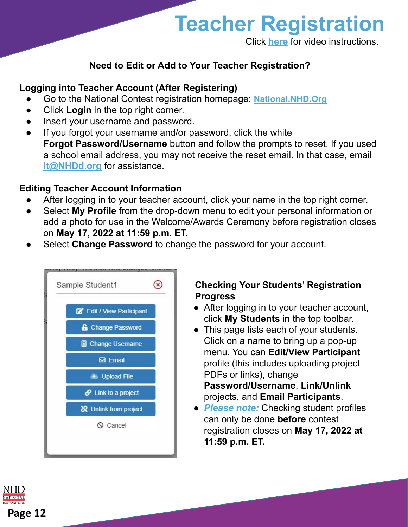

Click **[here](https://youtu.be/RawbaCrBnW0)** for video instructions.

## **Need to Edit or Add to Your Teacher Registration?**

### **Logging into Teacher Account (After Registering)**

- Go to the National Contest registration homepage: **[National.NHD.Org](https://national.nhd.org/)**
- Click **Login** in the top right corner.
- Insert your username and password.
- If you forgot your username and/or password, click the white **Forgot Password/Username** button and follow the prompts to reset. If you used a school email address, you may not receive the reset email. In that case, email **[It@NHDd.org](mailto:It@Nhd.org)** for assistance.

#### **Editing Teacher Account Information**

- After logging in to your teacher account, click your name in the top right corner.
- Select **My Profile** from the drop-down menu to edit your personal information or add a photo for use in the Welcome/Awards Ceremony before registration closes on **May 17, 2022 at 11:59 p.m. ET.**
- Select **Change Password** to change the password for your account.

| Edit / View Participant        |  |
|--------------------------------|--|
| <b>&amp;</b> Change Password   |  |
| <b>图 Change Username</b>       |  |
| <b>⊠</b> Email                 |  |
| <b>1</b> Upload File           |  |
| $\mathcal O$ Link to a project |  |
| & Unlink from project          |  |
| $\odot$ Cancel                 |  |

#### **Checking Your Students' Registration Progress**

- After logging in to your teacher account, click **My Students** in the top toolbar.
- This page lists each of your students. Click on a name to bring up a pop-up menu. You can **Edit/View Participant** profile (this includes uploading project PDFs or links), change **Password/Username**, **Link/Unlink**
	- projects, and **Email Participants**.
- *Please note:* Checking student profiles can only be done **before** contest registration closes on **May 17, 2022 at 11:59 p.m. ET.**